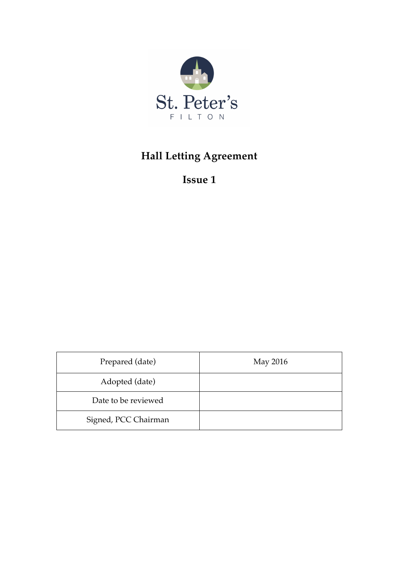

# **Hall Letting Agreement**

**Issue 1**

| Prepared (date)      | May 2016 |
|----------------------|----------|
| Adopted (date)       |          |
| Date to be reviewed  |          |
| Signed, PCC Chairman |          |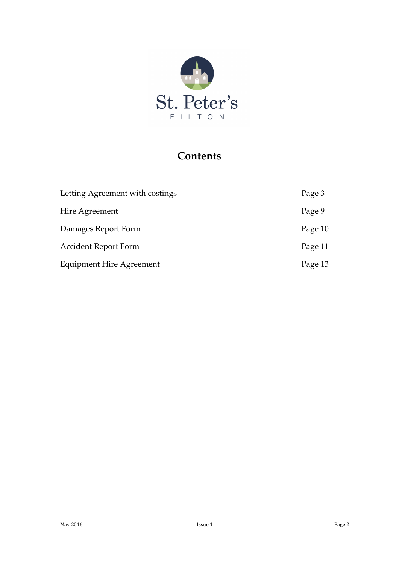

# **Contents**

| Letting Agreement with costings | Page 3  |
|---------------------------------|---------|
| Hire Agreement                  | Page 9  |
| Damages Report Form             | Page 10 |
| <b>Accident Report Form</b>     | Page 11 |
| <b>Equipment Hire Agreement</b> | Page 13 |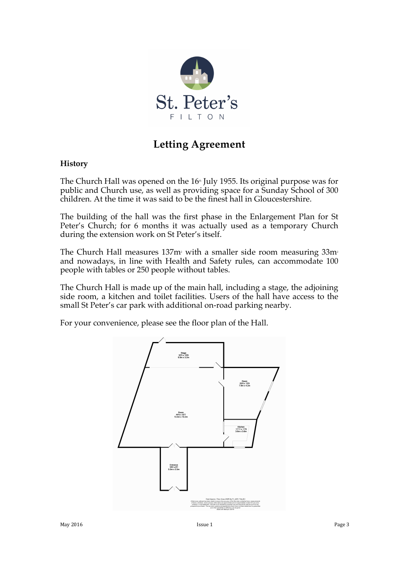

# **Letting Agreement**

#### **History**

The Church Hall was opened on the  $16<sup>th</sup>$  July 1955. Its original purpose was for public and Church use, as well as providing space for a Sunday School of 300 children. At the time it was said to be the finest hall in Gloucestershire.

The building of the hall was the first phase in the Enlargement Plan for St Peter's Church; for 6 months it was actually used as a temporary Church during the extension work on St Peter's itself.

The Church Hall measures  $137m$ <sup>2</sup> with a smaller side room measuring  $33m$ <sup>2</sup> and nowadays, in line with Health and Safety rules, can accommodate 100 people with tables or 250 people without tables.

The Church Hall is made up of the main hall, including a stage, the adjoining side room, a kitchen and toilet facilities. Users of the hall have access to the small St Peter's car park with additional on-road parking nearby.

For your convenience, please see the floor plan of the Hall.

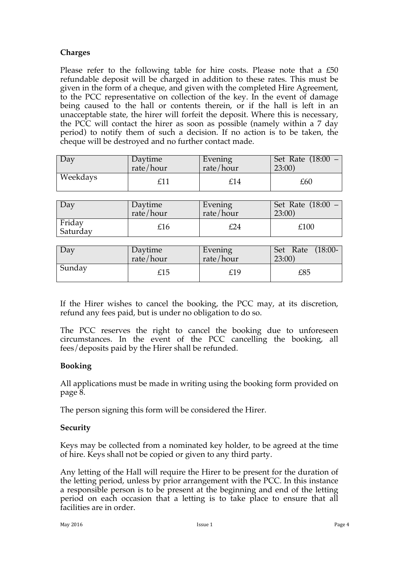## **Charges**

Please refer to the following table for hire costs. Please note that a £50 refundable deposit will be charged in addition to these rates. This must be given in the form of a cheque, and given with the completed Hire Agreement, to the PCC representative on collection of the key. In the event of damage being caused to the hall or contents therein, or if the hall is left in an unacceptable state, the hirer will forfeit the deposit. Where this is necessary, the PCC will contact the hirer as soon as possible (namely within a 7 day period) to notify them of such a decision. If no action is to be taken, the cheque will be destroyed and no further contact made.

| $\Box$ Dav | Daytime   | Evening       | Set Rate (18:00 – |
|------------|-----------|---------------|-------------------|
|            | rate/hour | rate/ $h$ our | 23:00             |
| Weekdays   |           | £14           | £60               |

| Day                | Daytime   | Evening   | Set Rate (18:00 – |
|--------------------|-----------|-----------|-------------------|
|                    | rate/hour | rate/hour | 23:00             |
| Friday<br>Saturday | £16       | £24       | £100              |

| $\Box$ Dav | Daytime   | Evening       | Set Rate (18:00- |
|------------|-----------|---------------|------------------|
|            | rate/hour | rate/ $h$ our | 23:00            |
| Sunday     | £15       | £19           | £85              |

If the Hirer wishes to cancel the booking, the PCC may, at its discretion, refund any fees paid, but is under no obligation to do so.

The PCC reserves the right to cancel the booking due to unforeseen circumstances. In the event of the PCC cancelling the booking, all fees/deposits paid by the Hirer shall be refunded.

### **Booking**

All applications must be made in writing using the booking form provided on page 8.

The person signing this form will be considered the Hirer.

### **Security**

Keys may be collected from a nominated key holder, to be agreed at the time of hire. Keys shall not be copied or given to any third party.

Any letting of the Hall will require the Hirer to be present for the duration of the letting period, unless by prior arrangement with the PCC. In this instance a responsible person is to be present at the beginning and end of the letting period on each occasion that a letting is to take place to ensure that all facilities are in order.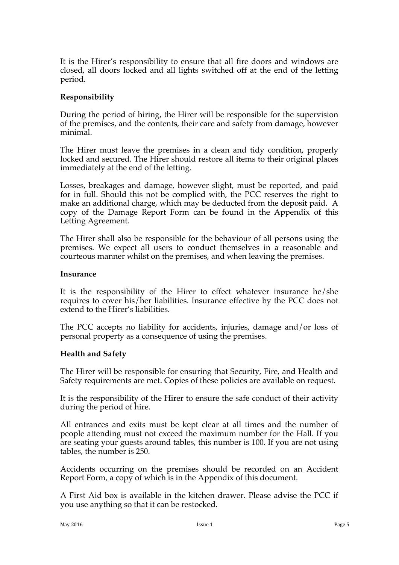It is the Hirer's responsibility to ensure that all fire doors and windows are closed, all doors locked and all lights switched off at the end of the letting period.

### **Responsibility**

During the period of hiring, the Hirer will be responsible for the supervision of the premises, and the contents, their care and safety from damage, however minimal.

The Hirer must leave the premises in a clean and tidy condition, properly locked and secured. The Hirer should restore all items to their original places immediately at the end of the letting.

Losses, breakages and damage, however slight, must be reported, and paid for in full. Should this not be complied with, the PCC reserves the right to make an additional charge, which may be deducted from the deposit paid. A copy of the Damage Report Form can be found in the Appendix of this Letting Agreement.

The Hirer shall also be responsible for the behaviour of all persons using the premises. We expect all users to conduct themselves in a reasonable and courteous manner whilst on the premises, and when leaving the premises.

#### **Insurance**

It is the responsibility of the Hirer to effect whatever insurance he/she requires to cover his/her liabilities. Insurance effective by the PCC does not extend to the Hirer's liabilities.

The PCC accepts no liability for accidents, injuries, damage and/or loss of personal property as a consequence of using the premises.

#### **Health and Safety**

The Hirer will be responsible for ensuring that Security, Fire, and Health and Safety requirements are met. Copies of these policies are available on request.

It is the responsibility of the Hirer to ensure the safe conduct of their activity during the period of hire.

All entrances and exits must be kept clear at all times and the number of people attending must not exceed the maximum number for the Hall. If you are seating your guests around tables, this number is 100. If you are not using tables, the number is 250.

Accidents occurring on the premises should be recorded on an Accident Report Form, a copy of which is in the Appendix of this document.

A First Aid box is available in the kitchen drawer. Please advise the PCC if you use anything so that it can be restocked.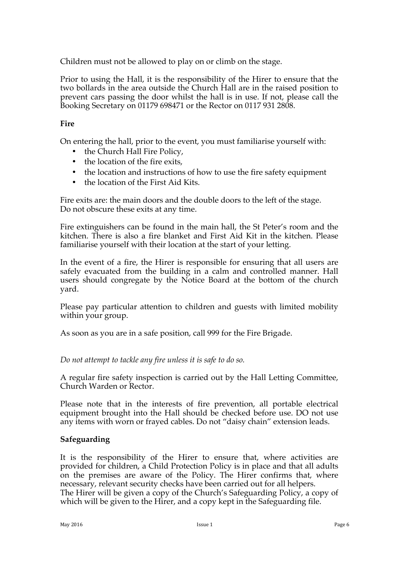Children must not be allowed to play on or climb on the stage.

Prior to using the Hall, it is the responsibility of the Hirer to ensure that the two bollards in the area outside the Church Hall are in the raised position to prevent cars passing the door whilst the hall is in use. If not, please call the Booking Secretary on 01179 698471 or the Rector on 0117 931 2808.

### **Fire**

On entering the hall, prior to the event, you must familiarise yourself with:

- the Church Hall Fire Policy,
- the location of the fire exits,
- the location and instructions of how to use the fire safety equipment
- the location of the First Aid Kits.

Fire exits are: the main doors and the double doors to the left of the stage. Do not obscure these exits at any time.

Fire extinguishers can be found in the main hall, the St Peter's room and the kitchen. There is also a fire blanket and First Aid Kit in the kitchen. Please familiarise yourself with their location at the start of your letting.

In the event of a fire, the Hirer is responsible for ensuring that all users are safely evacuated from the building in a calm and controlled manner. Hall users should congregate by the Notice Board at the bottom of the church yard.

Please pay particular attention to children and guests with limited mobility within your group.

As soon as you are in a safe position, call 999 for the Fire Brigade.

*Do not attempt to tackle any fire unless it is safe to do so.*

A regular fire safety inspection is carried out by the Hall Letting Committee, Church Warden or Rector.

Please note that in the interests of fire prevention, all portable electrical equipment brought into the Hall should be checked before use. DO not use any items with worn or frayed cables. Do not "daisy chain" extension leads.

### **Safeguarding**

It is the responsibility of the Hirer to ensure that, where activities are provided for children, a Child Protection Policy is in place and that all adults on the premises are aware of the Policy. The Hirer confirms that, where necessary, relevant security checks have been carried out for all helpers. The Hirer will be given a copy of the Church's Safeguarding Policy, a copy of which will be given to the Hirer, and a copy kept in the Safeguarding file.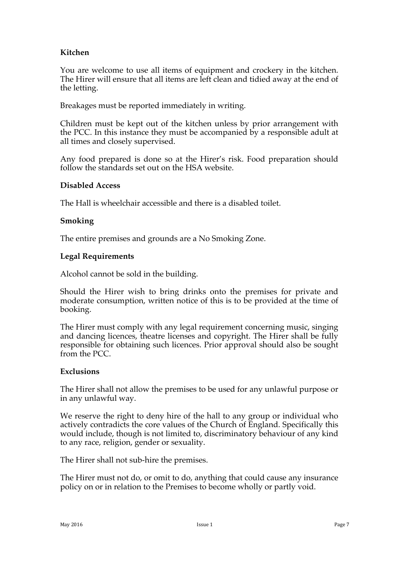# **Kitchen**

You are welcome to use all items of equipment and crockery in the kitchen. The Hirer will ensure that all items are left clean and tidied away at the end of the letting.

Breakages must be reported immediately in writing.

Children must be kept out of the kitchen unless by prior arrangement with the PCC. In this instance they must be accompanied by a responsible adult at all times and closely supervised.

Any food prepared is done so at the Hirer's risk. Food preparation should follow the standards set out on the HSA website.

#### **Disabled Access**

The Hall is wheelchair accessible and there is a disabled toilet.

#### **Smoking**

The entire premises and grounds are a No Smoking Zone.

#### **Legal Requirements**

Alcohol cannot be sold in the building.

Should the Hirer wish to bring drinks onto the premises for private and moderate consumption, written notice of this is to be provided at the time of booking.

The Hirer must comply with any legal requirement concerning music, singing and dancing licences, theatre licenses and copyright. The Hirer shall be fully responsible for obtaining such licences. Prior approval should also be sought from the PCC.

#### **Exclusions**

The Hirer shall not allow the premises to be used for any unlawful purpose or in any unlawful way.

We reserve the right to deny hire of the hall to any group or individual who actively contradicts the core values of the Church of England. Specifically this would include, though is not limited to, discriminatory behaviour of any kind to any race, religion, gender or sexuality.

The Hirer shall not sub-hire the premises.

The Hirer must not do, or omit to do, anything that could cause any insurance policy on or in relation to the Premises to become wholly or partly void.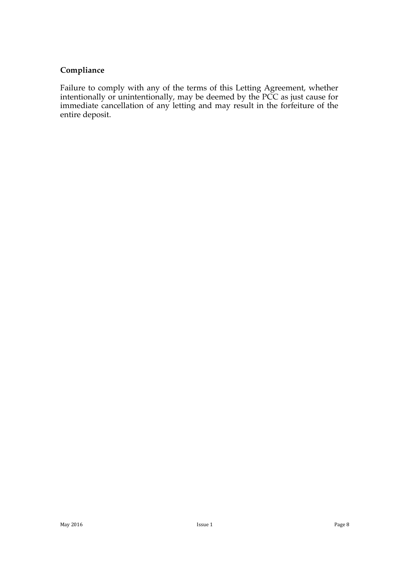## **Compliance**

Failure to comply with any of the terms of this Letting Agreement, whether intentionally or unintentionally, may be deemed by the PCC as just cause for immediate cancellation of any letting and may result in the forfeiture of the entire deposit.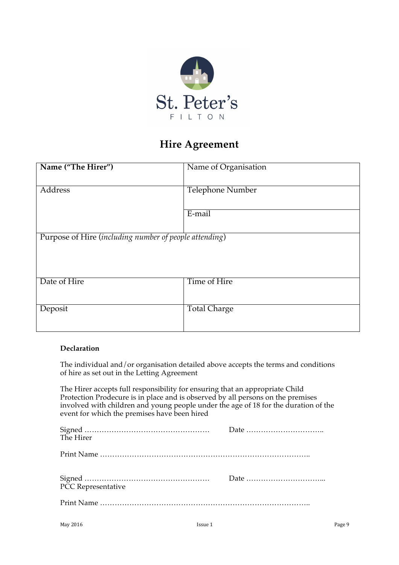

# **Hire Agreement**

| Name ("The Hirer")                                     | Name of Organisation    |
|--------------------------------------------------------|-------------------------|
|                                                        |                         |
| Address                                                | <b>Telephone Number</b> |
|                                                        |                         |
|                                                        | E-mail                  |
|                                                        |                         |
| Purpose of Hire (including number of people attending) |                         |
|                                                        |                         |
|                                                        |                         |
|                                                        |                         |
| Date of Hire                                           | Time of Hire            |
|                                                        |                         |
| Deposit                                                | Total Charge            |
|                                                        |                         |
|                                                        |                         |

#### **Declaration**

The individual and/or organisation detailed above accepts the terms and conditions of hire as set out in the Letting Agreement

The Hirer accepts full responsibility for ensuring that an appropriate Child Protection Prodecure is in place and is observed by all persons on the premises involved with children and young people under the age of 18 for the duration of the event for which the premises have been hired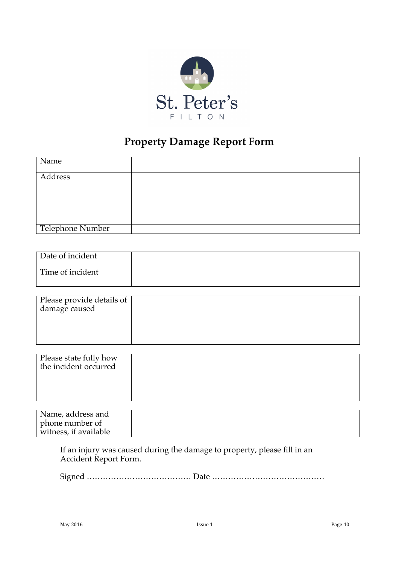

# **Property Damage Report Form**

| Name             |  |
|------------------|--|
| Address          |  |
|                  |  |
|                  |  |
| Telephone Number |  |

| Date of incident |  |
|------------------|--|
| Time of incident |  |

| Please provide details of<br>damage caused |  |
|--------------------------------------------|--|
|                                            |  |

| Please state fully how<br>the incident occurred |  |
|-------------------------------------------------|--|
|                                                 |  |

| Name, address and     |  |
|-----------------------|--|
| phone number of       |  |
| witness, if available |  |

If an injury was caused during the damage to property, please fill in an Accident Report Form.

Signed ………………………………… Date ……………………………………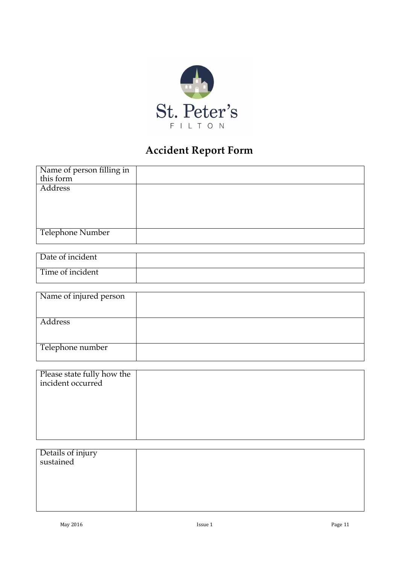

# **Accident Report Form**

| Name of person filling in<br>this form |  |
|----------------------------------------|--|
|                                        |  |
| Address                                |  |
|                                        |  |
|                                        |  |
|                                        |  |
|                                        |  |
| Telephone Number                       |  |
|                                        |  |

| Date of incident |  |
|------------------|--|
| Time of incident |  |

| Name of injured person |  |
|------------------------|--|
|                        |  |
| Address                |  |
|                        |  |
| Telephone number       |  |

| Please state fully how the<br>incident occurred |  |
|-------------------------------------------------|--|
|                                                 |  |
|                                                 |  |
|                                                 |  |

| Details of injury<br>sustained |  |
|--------------------------------|--|
|                                |  |
|                                |  |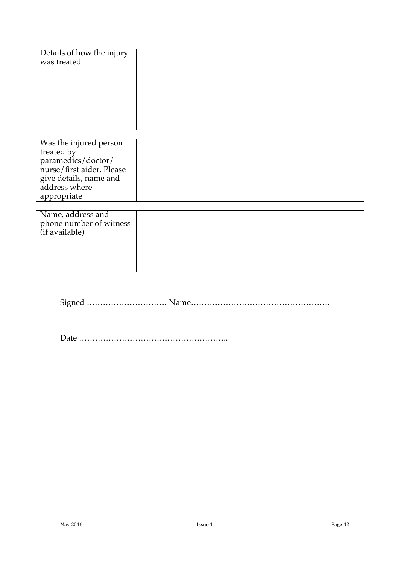| Details of how the injury<br>was treated |  |
|------------------------------------------|--|
|                                          |  |
|                                          |  |
|                                          |  |
|                                          |  |
|                                          |  |
|                                          |  |
|                                          |  |
|                                          |  |
|                                          |  |

| Was the injured person    |  |
|---------------------------|--|
| treated by                |  |
| paramedics/doctor/        |  |
| nurse/first aider. Please |  |
| give details, name and    |  |
| address where             |  |
| appropriate               |  |

| Name, address and<br>phone number of witness<br>(if available) |  |
|----------------------------------------------------------------|--|
|                                                                |  |

Signed ………………………… Name…………………………………………….

Date ………………………………………………..